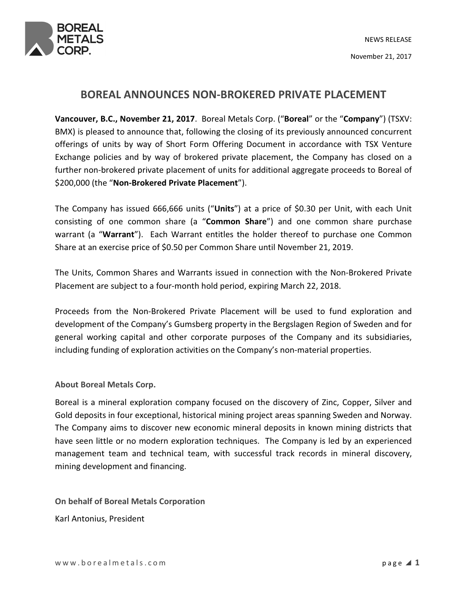

## BOREAL ANNOUNCES NON-BROKERED PRIVATE PLACEMENT

Vancouver, B.C., November 21, 2017. Boreal Metals Corp. ("Boreal" or the "Company") (TSXV: BMX) is pleased to announce that, following the closing of its previously announced concurrent offerings of units by way of Short Form Offering Document in accordance with TSX Venture Exchange policies and by way of brokered private placement, the Company has closed on a further non-brokered private placement of units for additional aggregate proceeds to Boreal of \$200,000 (the "Non-Brokered Private Placement").

The Company has issued 666,666 units ("Units") at a price of \$0.30 per Unit, with each Unit consisting of one common share (a "Common Share") and one common share purchase warrant (a "Warrant"). Each Warrant entitles the holder thereof to purchase one Common Share at an exercise price of \$0.50 per Common Share until November 21, 2019.

The Units, Common Shares and Warrants issued in connection with the Non-Brokered Private Placement are subject to a four-month hold period, expiring March 22, 2018.

Proceeds from the Non-Brokered Private Placement will be used to fund exploration and development of the Company's Gumsberg property in the Bergslagen Region of Sweden and for general working capital and other corporate purposes of the Company and its subsidiaries, including funding of exploration activities on the Company's non-material properties.

About Boreal Metals Corp.

Boreal is a mineral exploration company focused on the discovery of Zinc, Copper, Silver and Gold deposits in four exceptional, historical mining project areas spanning Sweden and Norway. The Company aims to discover new economic mineral deposits in known mining districts that have seen little or no modern exploration techniques. The Company is led by an experienced management team and technical team, with successful track records in mineral discovery, mining development and financing.

On behalf of Boreal Metals Corporation Karl Antonius, President